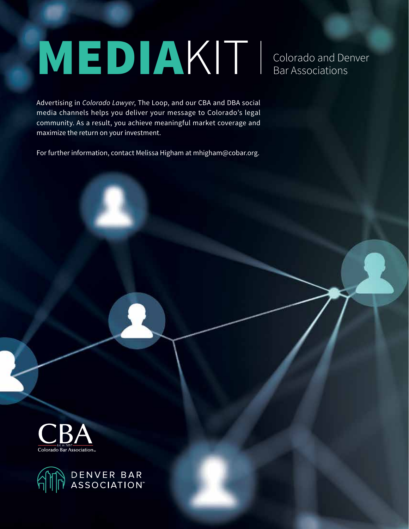# MEDIAKIT Colorado and Denver Bar Associations

Advertising in *Colorado Lawyer*, The Loop, and our CBA and DBA social media channels helps you deliver your message to Colorado's legal community. As a result, you achieve meaningful market coverage and maximize the return on your investment.

For further information, contact Melissa Higham at mhigham@cobar.org.



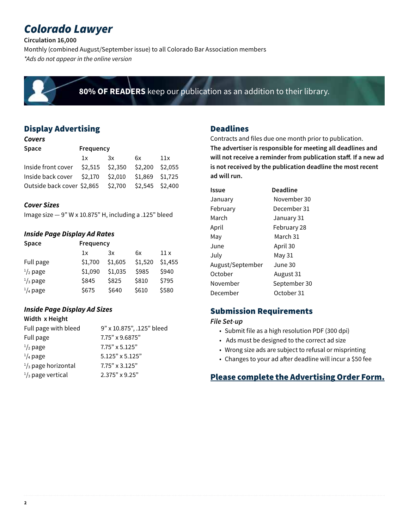# *Colorado Lawyer*

**Circulation 16,000**

Monthly (combined August/September issue) to all Colorado Bar Association members *\*Ads do not appear in the online version*



**80% OF READERS** keep our publication as an addition to their library.

# Display Advertising

#### *Covers*

| <b>Space</b>                         | Frequency |    |                 |     |
|--------------------------------------|-----------|----|-----------------|-----|
|                                      | 1x        | 3x | 6x              | 11x |
| Inside front cover $$2,515$ $$2,350$ |           |    | \$2,200 \$2,055 |     |
| Inside back cover $$2,170$ $$2,010$  |           |    | \$1,869 \$1,725 |     |
| Outside back cover \$2,865 \$2,700   |           |    | \$2,545 \$2,400 |     |

#### *Cover Sizes*

Image size  $-9$ " W x 10.875" H, including a .125" bleed

#### *Inside Page Display Ad Rates*

| <b>Space</b>       | Frequency |         |         |         |
|--------------------|-----------|---------|---------|---------|
|                    | 1x        | 3x      | 6x      | 11 x    |
| Full page          | \$1,700   | \$1,605 | \$1,520 | \$1,455 |
| $\frac{1}{2}$ page | \$1,090   | \$1,035 | \$985   | \$940   |
| $\frac{1}{3}$ page | \$845     | \$825   | \$810   | \$795   |
| $\frac{1}{4}$ page | \$675     | \$640   | \$610   | \$580   |

## *Inside Page Display Ad Sizes*

#### **Width x Height**

| Full page with bleed          | 9" x 10.875", .125" bleed |
|-------------------------------|---------------------------|
| Full page                     | 7.75" x 9.6875"           |
| $\frac{1}{2}$ page            | $7.75" \times 5.125"$     |
| $\frac{1}{4}$ page            | $5.125"$ x $5.125"$       |
| $\frac{1}{3}$ page horizontal | $7.75" \times 3.125"$     |
| $\frac{1}{3}$ page vertical   | 2.375" x 9.25"            |

## Deadlines

Contracts and files due one month prior to publication. **The advertiser is responsible for meeting all deadlines and will not receive a reminder from publication staff. If a new ad is not received by the publication deadline the most recent ad will run.**

| Issue            | <b>Deadline</b> |
|------------------|-----------------|
| January          | November 30     |
| Februarv         | December 31     |
| March            | January 31      |
| April            | February 28     |
| Mav              | March 31        |
| June             | April 30        |
| Julv             | May 31          |
| August/September | June 30         |
| October          | August 31       |
| November         | September 30    |
| December         | October 31      |

# Submission Requirements

*File Set-up*

- Submit file as a high resolution PDF (300 dpi)
- Ads must be designed to the correct ad size
- Wrong size ads are subject to refusal or misprinting
- Changes to your ad after deadline will incur a \$50 fee

# Please complete the Advertising Order Form.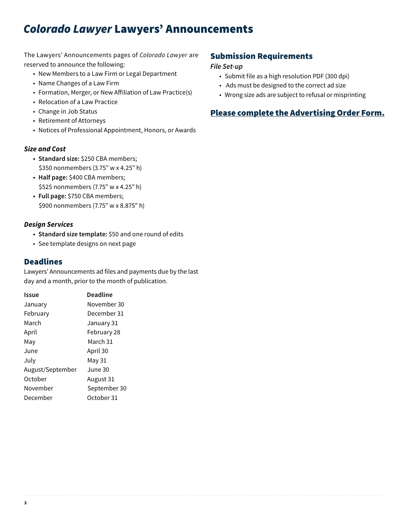# *Colorado Lawyer* Lawyers' Announcements

#### The Lawyers' Announcements pages of *Colorado Lawyer* are reserved to announce the following:

- New Members to a Law Firm or Legal Department
- Name Changes of a Law Firm
- Formation, Merger, or New Affiliation of Law Practice(s)
- Relocation of a Law Practice
- Change in Job Status
- Retirement of Attorneys
- Notices of Professional Appointment, Honors, or Awards

#### *Size and Cost*

- **• Standard size:** \$250 CBA members; \$350 nonmembers (3.75" w x 4.25" h)
- **• Half page:** \$400 CBA members; \$525 nonmembers (7.75" w x 4.25" h)
- **• Full page:** \$750 CBA members; \$900 nonmembers (7.75" w x 8.875" h)

#### *Design Services*

- **• Standard size template:** \$50 and one round of edits
- See template designs on next page

#### Deadlines

Lawyers' Announcements ad files and payments due by the last day and a month, prior to the month of publication.

| Issue            | <b>Deadline</b> |
|------------------|-----------------|
| January          | November 30     |
| Februarv         | December 31     |
| March            | January 31      |
| April            | February 28     |
| May              | March 31        |
| June             | April 30        |
| July             | May 31          |
| August/September | June 30         |
| October          | August 31       |
| November         | September 30    |
| December         | October 31      |

## Submission Requirements

#### *File Set-up*

- Submit file as a high resolution PDF (300 dpi)
- Ads must be designed to the correct ad size
- Wrong size ads are subject to refusal or misprinting

# Please complete the Advertising Order Form.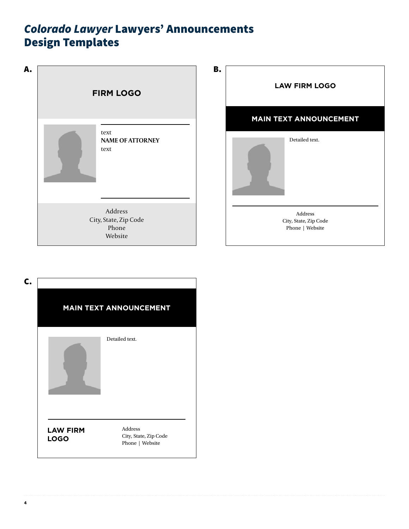# *Colorado Lawyer* Lawyers' Announcements Design Templates